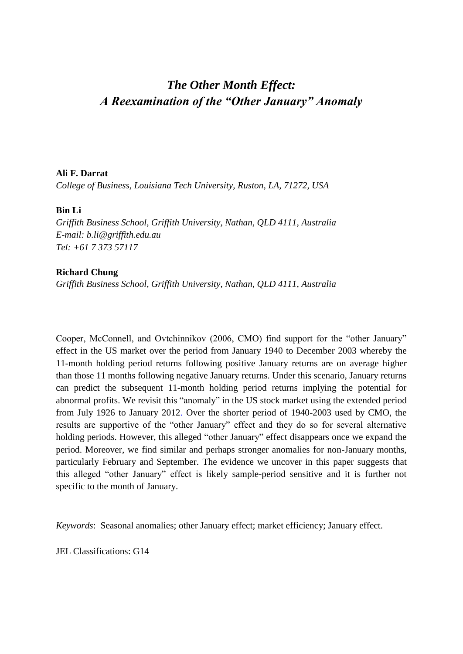# *The Other Month Effect: A Reexamination of the "Other January" Anomaly*

#### **Ali F. Darrat**

*College of Business, Louisiana Tech University, Ruston, LA, 71272, USA*

## **Bin Li**

*Griffith Business School, Griffith University, Nathan, QLD 4111, Australia E-mail: [b.li@griffith.edu.au](mailto:b.li@griffith.edu.au) Tel: +61 7 373 57117*

## **Richard Chung**

*Griffith Business School, Griffith University, Nathan, QLD 4111, Australia*

Cooper, McConnell, and Ovtchinnikov (2006, CMO) find support for the "other January" effect in the US market over the period from January 1940 to December 2003 whereby the 11-month holding period returns following positive January returns are on average higher than those 11 months following negative January returns. Under this scenario, January returns can predict the subsequent 11-month holding period returns implying the potential for abnormal profits. We revisit this "anomaly" in the US stock market using the extended period from July 1926 to January 2012. Over the shorter period of 1940-2003 used by CMO, the results are supportive of the "other January" effect and they do so for several alternative holding periods. However, this alleged "other January" effect disappears once we expand the period. Moreover, we find similar and perhaps stronger anomalies for non-January months, particularly February and September. The evidence we uncover in this paper suggests that this alleged "other January" effect is likely sample-period sensitive and it is further not specific to the month of January.

*Keywords*: Seasonal anomalies; other January effect; market efficiency; January effect.

JEL Classifications: G14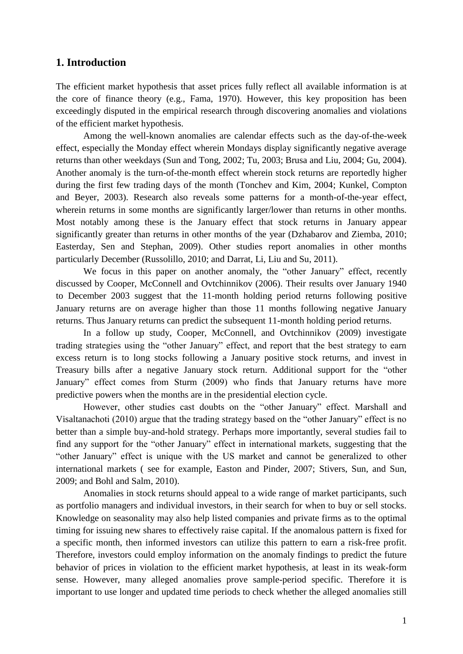# **1. Introduction**

The efficient market hypothesis that asset prices fully reflect all available information is at the core of finance theory (e.g., Fama, 1970). However, this key proposition has been exceedingly disputed in the empirical research through discovering anomalies and violations of the efficient market hypothesis.

Among the well-known anomalies are calendar effects such as the day-of-the-week effect, especially the Monday effect wherein Mondays display significantly negative average returns than other weekdays (Sun and Tong, 2002; Tu, 2003; Brusa and Liu, 2004; Gu, 2004). Another anomaly is the turn-of-the-month effect wherein stock returns are reportedly higher during the first few trading days of the month (Tonchev and Kim, 2004; Kunkel, Compton and Beyer, 2003). Research also reveals some patterns for a month-of-the-year effect, wherein returns in some months are significantly larger/lower than returns in other months. Most notably among these is the January effect that stock returns in January appear significantly greater than returns in other months of the year (Dzhabarov and Ziemba, 2010; Easterday, Sen and Stephan, 2009). Other studies report anomalies in other months particularly December (Russolillo, 2010; and Darrat, Li, Liu and Su, 2011).

We focus in this paper on another anomaly, the "other January" effect, recently discussed by Cooper, McConnell and Ovtchinnikov (2006). Their results over January 1940 to December 2003 suggest that the 11-month holding period returns following positive January returns are on average higher than those 11 months following negative January returns. Thus January returns can predict the subsequent 11-month holding period returns.

In a follow up study, Cooper, McConnell, and Ovtchinnikov (2009) investigate trading strategies using the "other January" effect, and report that the best strategy to earn excess return is to long stocks following a January positive stock returns, and invest in Treasury bills after a negative January stock return. Additional support for the "other January" effect comes from Sturm (2009) who finds that January returns have more predictive powers when the months are in the presidential election cycle.

However, other studies cast doubts on the "other January" effect. Marshall and Visaltanachoti (2010) argue that the trading strategy based on the "other January" effect is no better than a simple buy-and-hold strategy. Perhaps more importantly, several studies fail to find any support for the "other January" effect in international markets, suggesting that the "other January" effect is unique with the US market and cannot be generalized to other international markets ( see for example, Easton and Pinder, 2007; Stivers, Sun, and Sun, 2009; and Bohl and Salm, 2010).

Anomalies in stock returns should appeal to a wide range of market participants, such as portfolio managers and individual investors, in their search for when to buy or sell stocks. Knowledge on seasonality may also help listed companies and private firms as to the optimal timing for issuing new shares to effectively raise capital. If the anomalous pattern is fixed for a specific month, then informed investors can utilize this pattern to earn a risk-free profit. Therefore, investors could employ information on the anomaly findings to predict the future behavior of prices in violation to the efficient market hypothesis, at least in its weak-form sense. However, many alleged anomalies prove sample-period specific. Therefore it is important to use longer and updated time periods to check whether the alleged anomalies still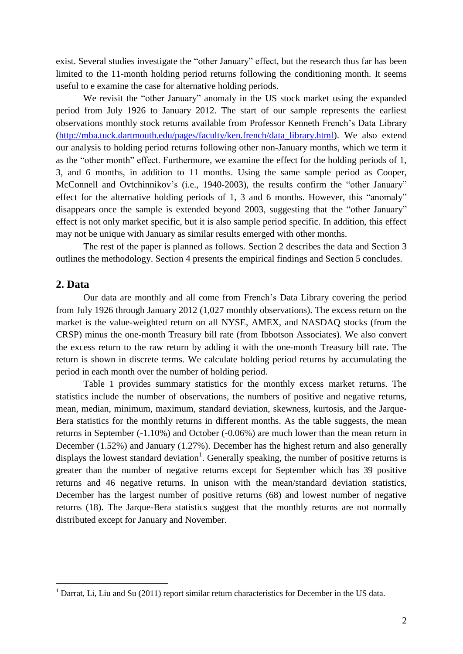exist. Several studies investigate the "other January" effect, but the research thus far has been limited to the 11-month holding period returns following the conditioning month. It seems useful to e examine the case for alternative holding periods.

We revisit the "other January" anomaly in the US stock market using the expanded period from July 1926 to January 2012. The start of our sample represents the earliest observations monthly stock returns available from Professor Kenneth French's Data Library [\(http://mba.tuck.dartmouth.edu/pages/faculty/ken.french/data\\_library.html\)](http://mba.tuck.dartmouth.edu/pages/faculty/ken.french/data_library.html). We also extend our analysis to holding period returns following other non-January months, which we term it as the "other month" effect. Furthermore, we examine the effect for the holding periods of 1, 3, and 6 months, in addition to 11 months. Using the same sample period as Cooper, McConnell and Ovtchinnikov's (i.e., 1940-2003), the results confirm the "other January" effect for the alternative holding periods of 1, 3 and 6 months. However, this "anomaly" disappears once the sample is extended beyond 2003, suggesting that the "other January" effect is not only market specific, but it is also sample period specific. In addition, this effect may not be unique with January as similar results emerged with other months.

The rest of the paper is planned as follows. Section 2 describes the data and Section 3 outlines the methodology. Section 4 presents the empirical findings and Section 5 concludes.

#### **2. Data**

1

Our data are monthly and all come from French's Data Library covering the period from July 1926 through January 2012 (1,027 monthly observations). The excess return on the market is the value-weighted return on all NYSE, AMEX, and NASDAQ stocks (from the CRSP) minus the one-month Treasury bill rate (from Ibbotson Associates). We also convert the excess return to the raw return by adding it with the one-month Treasury bill rate. The return is shown in discrete terms. We calculate holding period returns by accumulating the period in each month over the number of holding period.

Table 1 provides summary statistics for the monthly excess market returns. The statistics include the number of observations, the numbers of positive and negative returns, mean, median, minimum, maximum, standard deviation, skewness, kurtosis, and the Jarque-Bera statistics for the monthly returns in different months. As the table suggests, the mean returns in September (-1.10%) and October (-0.06%) are much lower than the mean return in December (1.52%) and January (1.27%). December has the highest return and also generally displays the lowest standard deviation<sup>1</sup>. Generally speaking, the number of positive returns is greater than the number of negative returns except for September which has 39 positive returns and 46 negative returns. In unison with the mean/standard deviation statistics, December has the largest number of positive returns (68) and lowest number of negative returns (18). The Jarque-Bera statistics suggest that the monthly returns are not normally distributed except for January and November.

<sup>&</sup>lt;sup>1</sup> Darrat, Li, Liu and Su (2011) report similar return characteristics for December in the US data.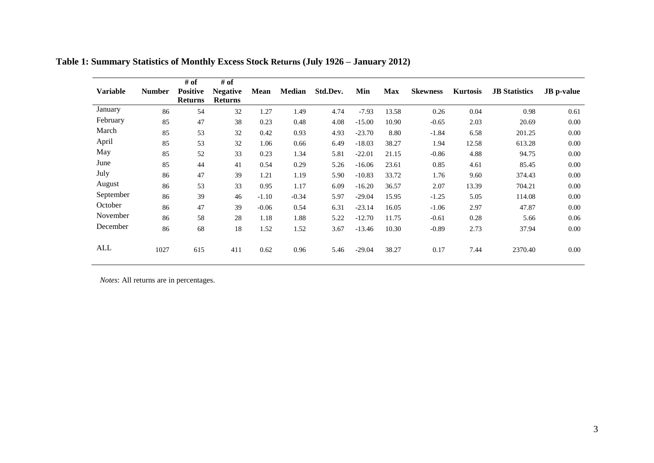| <b>Variable</b> | <b>Number</b> | # of<br><b>Positive</b><br><b>Returns</b> | # of<br><b>Negative</b><br><b>Returns</b> | Mean    | <b>Median</b> | Std.Dev. | Min      | <b>Max</b> | <b>Skewness</b> | <b>Kurtosis</b> | <b>JB</b> Statistics | <b>JB</b> p-value |
|-----------------|---------------|-------------------------------------------|-------------------------------------------|---------|---------------|----------|----------|------------|-----------------|-----------------|----------------------|-------------------|
| January         | 86            | 54                                        | 32                                        | 1.27    | 1.49          | 4.74     | $-7.93$  | 13.58      | 0.26            | 0.04            | 0.98                 | 0.61              |
| February        | 85            | 47                                        | 38                                        | 0.23    | 0.48          | 4.08     | $-15.00$ | 10.90      | $-0.65$         | 2.03            | 20.69                | $0.00\,$          |
| March           | 85            | 53                                        | 32                                        | 0.42    | 0.93          | 4.93     | $-23.70$ | 8.80       | $-1.84$         | 6.58            | 201.25               | 0.00              |
| April           | 85            | 53                                        | 32                                        | 1.06    | 0.66          | 6.49     | $-18.03$ | 38.27      | 1.94            | 12.58           | 613.28               | 0.00              |
| May             | 85            | 52                                        | 33                                        | 0.23    | 1.34          | 5.81     | $-22.01$ | 21.15      | $-0.86$         | 4.88            | 94.75                | 0.00              |
| June            | 85            | 44                                        | 41                                        | 0.54    | 0.29          | 5.26     | $-16.06$ | 23.61      | 0.85            | 4.61            | 85.45                | 0.00              |
| July            | 86            | 47                                        | 39                                        | 1.21    | 1.19          | 5.90     | $-10.83$ | 33.72      | 1.76            | 9.60            | 374.43               | 0.00              |
| August          | 86            | 53                                        | 33                                        | 0.95    | 1.17          | 6.09     | $-16.20$ | 36.57      | 2.07            | 13.39           | 704.21               | 0.00              |
| September       | 86            | 39                                        | 46                                        | $-1.10$ | $-0.34$       | 5.97     | $-29.04$ | 15.95      | $-1.25$         | 5.05            | 114.08               | 0.00              |
| October         | 86            | 47                                        | 39                                        | $-0.06$ | 0.54          | 6.31     | $-23.14$ | 16.05      | $-1.06$         | 2.97            | 47.87                | 0.00              |
| November        | 86            | 58                                        | 28                                        | 1.18    | 1.88          | 5.22     | $-12.70$ | 11.75      | $-0.61$         | 0.28            | 5.66                 | 0.06              |
| December        |               |                                           |                                           |         |               |          |          |            |                 |                 |                      |                   |
|                 | 86            | 68                                        | 18                                        | 1.52    | 1.52          | 3.67     | $-13.46$ | 10.30      | $-0.89$         | 2.73            | 37.94                | 0.00              |
| ALL             | 1027          | 615                                       | 411                                       | 0.62    | 0.96          | 5.46     | $-29.04$ | 38.27      | 0.17            | 7.44            | 2370.40              | $0.00\,$          |

**Table 1: Summary Statistics of Monthly Excess Stock Returns (July 1926 – January 2012)** 

*Notes*: All returns are in percentages.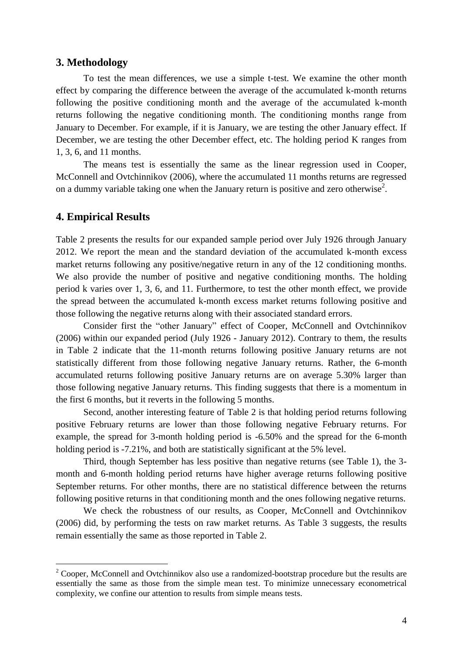#### **3. Methodology**

To test the mean differences, we use a simple t-test. We examine the other month effect by comparing the difference between the average of the accumulated k-month returns following the positive conditioning month and the average of the accumulated k-month returns following the negative conditioning month. The conditioning months range from January to December. For example, if it is January, we are testing the other January effect. If December, we are testing the other December effect, etc. The holding period K ranges from 1, 3, 6, and 11 months.

The means test is essentially the same as the linear regression used in Cooper, McConnell and Ovtchinnikov (2006), where the accumulated 11 months returns are regressed on a dummy variable taking one when the January return is positive and zero otherwise<sup>2</sup>.

# **4. Empirical Results**

1

Table 2 presents the results for our expanded sample period over July 1926 through January 2012. We report the mean and the standard deviation of the accumulated k-month excess market returns following any positive/negative return in any of the 12 conditioning months. We also provide the number of positive and negative conditioning months. The holding period k varies over 1, 3, 6, and 11. Furthermore, to test the other month effect, we provide the spread between the accumulated k-month excess market returns following positive and those following the negative returns along with their associated standard errors.

Consider first the "other January" effect of Cooper, McConnell and Ovtchinnikov (2006) within our expanded period (July 1926 - January 2012). Contrary to them, the results in Table 2 indicate that the 11-month returns following positive January returns are not statistically different from those following negative January returns. Rather, the 6-month accumulated returns following positive January returns are on average 5.30% larger than those following negative January returns. This finding suggests that there is a momentum in the first 6 months, but it reverts in the following 5 months.

Second, another interesting feature of Table 2 is that holding period returns following positive February returns are lower than those following negative February returns. For example, the spread for 3-month holding period is -6.50% and the spread for the 6-month holding period is  $-7.21\%$ , and both are statistically significant at the 5% level.

Third, though September has less positive than negative returns (see Table 1), the 3 month and 6-month holding period returns have higher average returns following positive September returns. For other months, there are no statistical difference between the returns following positive returns in that conditioning month and the ones following negative returns.

We check the robustness of our results, as Cooper, McConnell and Ovtchinnikov (2006) did, by performing the tests on raw market returns. As Table 3 suggests, the results remain essentially the same as those reported in Table 2.

<sup>&</sup>lt;sup>2</sup> Cooper, McConnell and Ovtchinnikov also use a randomized-bootstrap procedure but the results are essentially the same as those from the simple mean test. To minimize unnecessary econometrical complexity, we confine our attention to results from simple means tests.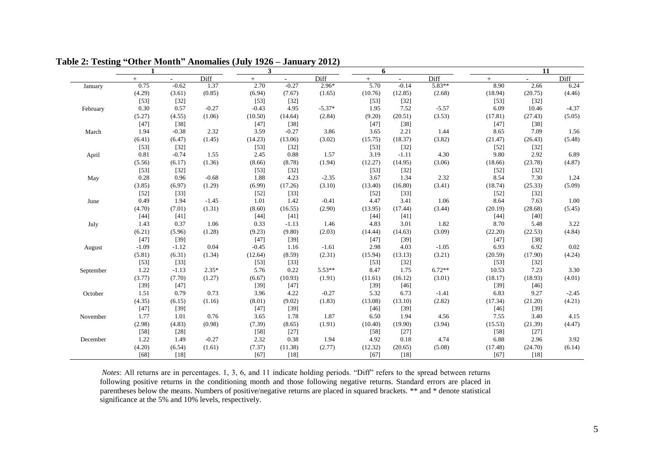|           |         |          |         | 3       |          |          | 6       |         |          |         | 11      |         |
|-----------|---------|----------|---------|---------|----------|----------|---------|---------|----------|---------|---------|---------|
|           | $+$     | $\equiv$ | Diff    | $+$     | $\equiv$ | Diff     | $+$     |         | Diff     | $+$     |         | Diff    |
| January   | 0.75    | $-0.62$  | 1.37    | 2.70    | $-0.27$  | $2.96*$  | 5.70    | $-0.14$ | $5.83**$ | 8.90    | 2.66    | 6.24    |
|           | (4.29)  | (3.61)   | (0.85)  | (6.94)  | (7.67)   | (1.65)   | (10.76) | (12.85) | (2.68)   | (18.94) | (20.75) | (4.46)  |
|           | $[53]$  | $[32]$   |         | $[53]$  | $[32]$   |          | $[53]$  | $[32]$  |          | $[53]$  | $[32]$  |         |
| February  | 0.30    | 0.57     | $-0.27$ | $-0.43$ | 4.95     | $-5.37*$ | 1.95    | 7.52    | $-5.57$  | 6.09    | 10.46   | $-4.37$ |
|           | (5.27)  | (4.55)   | (1.06)  | (10.50) | (14.64)  | (2.84)   | (9.20)  | (20.51) | (3.53)   | (17.81) | (27.43) | (5.05)  |
|           | $[47]$  | $[38]$   |         | $[47]$  | $[38]$   |          | $[47]$  | $[38]$  |          | $[47]$  | $[38]$  |         |
| March     | 1.94    | $-0.38$  | 2.32    | 3.59    | $-0.27$  | 3.86     | 3.65    | 2.21    | 1.44     | 8.65    | 7.09    | 1.56    |
|           | (6.41)  | (6.47)   | (1.45)  | (14.23) | (13.06)  | (3.02)   | (15.75) | (18.37) | (3.82)   | (21.47) | (26.43) | (5.48)  |
|           | $[53]$  | $[32]$   |         | $[53]$  | $[32]$   |          | $[53]$  | $[32]$  |          | $[52]$  | $[32]$  |         |
| April     | 0.81    | $-0.74$  | 1.55    | 2.45    | 0.88     | 1.57     | 3.19    | $-1.11$ | 4.30     | 9.80    | 2.92    | 6.89    |
|           | (5.56)  | (6.17)   | (1.36)  | (8.66)  | (8.78)   | (1.94)   | (12.27) | (14.95) | (3.06)   | (18.66) | (23.78) | (4.87)  |
|           | $[53]$  | $[32]$   |         | $[53]$  | $[32]$   |          | $[53]$  | $[32]$  |          | $[52]$  | $[32]$  |         |
| May       | 0.28    | 0.96     | $-0.68$ | 1.88    | 4.23     | $-2.35$  | 3.67    | 1.34    | 2.32     | 8.54    | 7.30    | 1.24    |
|           | (3.85)  | (6.97)   | (1.29)  | (6.99)  | (17.26)  | (3.10)   | (13.40) | (16.80) | (3.41)   | (18.74) | (25.33) | (5.09)  |
|           | $[52]$  | $[33]$   |         | $[52]$  | [33]     |          | $[52]$  | $[33]$  |          | $[52]$  | $[32]$  |         |
| June      | 0.49    | 1.94     | $-1.45$ | 1.01    | 1.42     | $-0.41$  | 4.47    | 3.41    | 1.06     | 8.64    | 7.63    | 1.00    |
|           | (4.70)  | (7.01)   | (1.31)  | (8.60)  | (16.55)  | (2.90)   | (13.95) | (17.44) | (3.44)   | (20.19) | (28.68) | (5.45)  |
|           | $[44]$  | [41]     |         | $[44]$  | [41]     |          | $[44]$  | [41]    |          | $[44]$  | [40]    |         |
| July      | 1.43    | 0.37     | 1.06    | 0.33    | $-1.13$  | 1.46     | 4.83    | 3.01    | 1.82     | 8.70    | 5.48    | 3.22    |
|           | (6.21)  | (5.96)   | (1.28)  | (9.23)  | (9.80)   | (2.03)   | (14.44) | (14.63) | (3.09)   | (22.20) | (22.53) | (4.84)  |
|           | $[47]$  | $[39]$   |         | $[47]$  | $[39]$   |          | $[47]$  | $[39]$  |          | $[47]$  | $[38]$  |         |
| August    | $-1.09$ | $-1.12$  | 0.04    | $-0.45$ | 1.16     | $-1.61$  | 2.98    | 4.03    | $-1.05$  | 6.93    | 6.92    | 0.02    |
|           | (5.81)  | (6.31)   | (1.34)  | (12.64) | (8.59)   | (2.31)   | (15.94) | (13.13) | (3.21)   | (20.59) | (17.90) | (4.24)  |
|           | $[53]$  | $[33]$   |         | $[53]$  | $[33]$   |          | $[53]$  | $[32]$  |          | $[53]$  | $[32]$  |         |
| September | 1.22    | $-1.13$  | $2.35*$ | 5.76    | 0.22     | $5.53**$ | 8.47    | 1.75    | $6.72**$ | 10.53   | 7.23    | 3.30    |
|           | (3.77)  | (7.70)   | (1.27)  | (6.67)  | (10.93)  | (1.91)   | (11.61) | (16.12) | (3.01)   | (18.17) | (18.93) | (4.01)  |
|           | $[39]$  | $[47]$   |         | $[39]$  | $[47]$   |          | $[39]$  | $[46]$  |          | $[39]$  | $[46]$  |         |
| October   | 1.51    | 0.79     | 0.73    | 3.96    | 4.22     | $-0.27$  | 5.32    | 6.73    | $-1.41$  | 6.83    | 9.27    | $-2.45$ |
|           | (4.35)  | (6.15)   | (1.16)  | (8.01)  | (9.02)   | (1.83)   | (13.08) | (13.10) | (2.82)   | (17.34) | (21.20) | (4.21)  |
|           | $[47]$  | $[39]$   |         | $[47]$  | $[39]$   |          | $[46]$  | $[39]$  |          | $[46]$  | $[39]$  |         |
| November  | 1.77    | 1.01     | 0.76    | 3.65    | 1.78     | 1.87     | 6.50    | 1.94    | 4.56     | 7.55    | 3.40    | 4.15    |
|           | (2.98)  | (4.83)   | (0.98)  | (7.39)  | (8.65)   | (1.91)   | (10.40) | (19.90) | (3.94)   | (15.53) | (21.39) | (4.47)  |
|           | $[58]$  | $[28]$   |         | $[58]$  | $[27]$   |          | $[58]$  | $[27]$  |          | $[58]$  | $[27]$  |         |
| December  | 1.22    | 1.49     | $-0.27$ | 2.32    | 0.38     | 1.94     | 4.92    | 0.18    | 4.74     | 6.88    | 2.96    | 3.92    |
|           | (4.20)  | (6.54)   | (1.61)  | (7.37)  | (11.38)  | (2.77)   | (12.32) | (20.65) | (5.08)   | (17.48) | (24.70) | (6.14)  |
|           | [68]    | $[18]$   |         | [67]    | $[18]$   |          | [67]    | [18]    |          | [67]    | $[18]$  |         |

**Table 2: Testing "Other Month" Anomalies (July 1926 – January 2012)**

*Notes*: All returns are in percentages. 1, 3, 6, and 11 indicate holding periods. "Diff" refers to the spread between returns following positive returns in the conditioning month and those following negative returns. Standard errors are placed in parentheses below the means. Numbers of positive/negative returns are placed in squared brackets. \*\* and \* denote statistical significance at the 5% and 10% levels, respectively.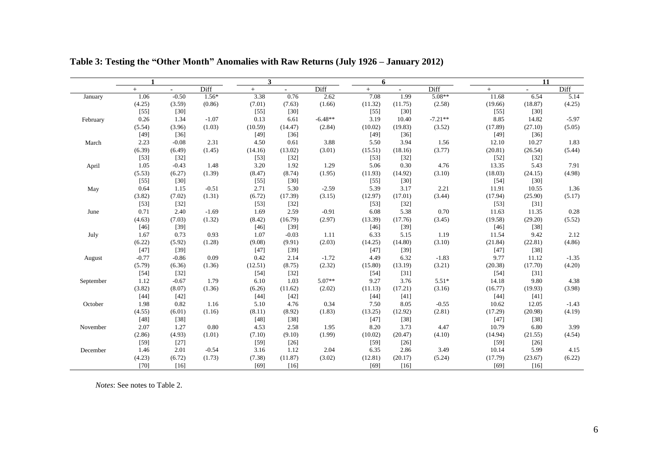|           | $\mathbf{1}$ |                          |         | 3       |                          |           | 6       |                          |           |         | 11      |         |
|-----------|--------------|--------------------------|---------|---------|--------------------------|-----------|---------|--------------------------|-----------|---------|---------|---------|
|           | $+$          | $\overline{\phantom{a}}$ | Diff    | $+$     | $\overline{\phantom{a}}$ | Diff      | $+$     | $\overline{\phantom{a}}$ | Diff      | $+$     | $\sim$  | Diff    |
| January   | 1.06         | $-0.50$                  | $1.56*$ | 3.38    | 0.76                     | 2.62      | 7.08    | 1.99                     | $5.08**$  | 11.68   | 6.54    | 5.14    |
|           | (4.25)       | (3.59)                   | (0.86)  | (7.01)  | (7.63)                   | (1.66)    | (11.32) | (11.75)                  | (2.58)    | (19.66) | (18.87) | (4.25)  |
|           | $[55]$       | $[30]$                   |         | $[55]$  | $[30]$                   |           | $[55]$  | $[30]$                   |           | $[55]$  | $[30]$  |         |
| February  | 0.26         | 1.34                     | $-1.07$ | 0.13    | 6.61                     | $-6.48**$ | 3.19    | 10.40                    | $-7.21**$ | 8.85    | 14.82   | $-5.97$ |
|           | (5.54)       | (3.96)                   | (1.03)  | (10.59) | (14.47)                  | (2.84)    | (10.02) | (19.83)                  | (3.52)    | (17.89) | (27.10) | (5.05)  |
|           | $[49]$       | $[36]$                   |         | $[49]$  | $[36]$                   |           | $[49]$  | $[36]$                   |           | $[49]$  | $[36]$  |         |
| March     | 2.23         | $-0.08$                  | 2.31    | 4.50    | 0.61                     | 3.88      | 5.50    | 3.94                     | 1.56      | 12.10   | 10.27   | 1.83    |
|           | (6.39)       | (6.49)                   | (1.45)  | (14.16) | (13.02)                  | (3.01)    | (15.51) | (18.16)                  | (3.77)    | (20.81) | (26.54) | (5.44)  |
|           | $[53]$       | $[32]$                   |         | $[53]$  | $[32]$                   |           | $[53]$  | $[32]$                   |           | $[52]$  | $[32]$  |         |
| April     | 1.05         | $-0.43$                  | 1.48    | 3.20    | 1.92                     | 1.29      | 5.06    | 0.30                     | 4.76      | 13.35   | 5.43    | 7.91    |
|           | (5.53)       | (6.27)                   | (1.39)  | (8.47)  | (8.74)                   | (1.95)    | (11.93) | (14.92)                  | (3.10)    | (18.03) | (24.15) | (4.98)  |
|           | $[55]$       | $[30]$                   |         | $[55]$  | $[30]$                   |           | $[55]$  | $[30]$                   |           | $[54]$  | $[30]$  |         |
| May       | 0.64         | 1.15                     | $-0.51$ | 2.71    | 5.30                     | $-2.59$   | 5.39    | 3.17                     | 2.21      | 11.91   | 10.55   | 1.36    |
|           | (3.82)       | (7.02)                   | (1.31)  | (6.72)  | (17.39)                  | (3.15)    | (12.97) | (17.01)                  | (3.44)    | (17.94) | (25.90) | (5.17)  |
|           | $[53]$       | $[32]$                   |         | $[53]$  | $[32]$                   |           | $[53]$  | $[32]$                   |           | $[53]$  | $[31]$  |         |
| June      | 0.71         | 2.40                     | $-1.69$ | 1.69    | 2.59                     | $-0.91$   | 6.08    | 5.38                     | 0.70      | 11.63   | 11.35   | 0.28    |
|           | (4.63)       | (7.03)                   | (1.32)  | (8.42)  | (16.79)                  | (2.97)    | (13.39) | (17.76)                  | (3.45)    | (19.58) | (29.20) | (5.52)  |
|           | $[46]$       | $[39]$                   |         | $[46]$  | $[39]$                   |           | $[46]$  | $[39]$                   |           | $[46]$  | $[38]$  |         |
| July      | 1.67         | 0.73                     | 0.93    | 1.07    | $-0.03$                  | 1.11      | 6.33    | 5.15                     | 1.19      | 11.54   | 9.42    | 2.12    |
|           | (6.22)       | (5.92)                   | (1.28)  | (9.08)  | (9.91)                   | (2.03)    | (14.25) | (14.80)                  | (3.10)    | (21.84) | (22.81) | (4.86)  |
|           | $[47]$       | $[39]$                   |         | $[47]$  | $[39]$                   |           | $[47]$  | $[39]$                   |           | $[47]$  | $[38]$  |         |
| August    | $-0.77$      | $-0.86$                  | 0.09    | 0.42    | 2.14                     | $-1.72$   | 4.49    | 6.32                     | $-1.83$   | 9.77    | 11.12   | $-1.35$ |
|           | (5.79)       | (6.36)                   | (1.36)  | (12.51) | (8.75)                   | (2.32)    | (15.80) | (13.19)                  | (3.21)    | (20.38) | (17.70) | (4.20)  |
|           | $[54]$       | $[32]$                   |         | $[54]$  | $[32]$                   |           | $[54]$  | $[31]$                   |           | $[54]$  | $[31]$  |         |
| September | 1.12         | $-0.67$                  | 1.79    | 6.10    | 1.03                     | 5.07**    | 9.27    | 3.76                     | $5.51*$   | 14.18   | 9.80    | 4.38    |
|           | (3.82)       | (8.07)                   | (1.36)  | (6.26)  | (11.62)                  | (2.02)    | (11.13) | (17.21)                  | (3.16)    | (16.77) | (19.93) | (3.98)  |
|           | $[44]$       | $[42]$                   |         | $[44]$  | $[42]$                   |           | $[44]$  | $[41]$                   |           | $[44]$  | $[41]$  |         |
| October   | 1.98         | 0.82                     | 1.16    | 5.10    | 4.76                     | 0.34      | 7.50    | 8.05                     | $-0.55$   | 10.62   | 12.05   | $-1.43$ |
|           | (4.55)       | (6.01)                   | (1.16)  | (8.11)  | (8.92)                   | (1.83)    | (13.25) | (12.92)                  | (2.81)    | (17.29) | (20.98) | (4.19)  |
|           | $[48]$       | $[38]$                   |         | $[48]$  | $[38]$                   |           | $[47]$  | $[38]$                   |           | $[47]$  | $[38]$  |         |
| November  | 2.07         | 1.27                     | 0.80    | 4.53    | 2.58                     | 1.95      | 8.20    | 3.73                     | 4.47      | 10.79   | 6.80    | 3.99    |
|           | (2.86)       | (4.93)                   | (1.01)  | (7.10)  | (9.10)                   | (1.99)    | (10.02) | (20.47)                  | (4.10)    | (14.94) | (21.55) | (4.54)  |
|           | $[59]$       | $[27]$                   |         | $[59]$  | $[26]$                   |           | $[59]$  | $[26]$                   |           | $[59]$  | $[26]$  |         |
| December  | 1.46         | 2.01                     | $-0.54$ | 3.16    | 1.12                     | 2.04      | 6.35    | 2.86                     | 3.49      | 10.14   | 5.99    | 4.15    |
|           | (4.23)       | (6.72)                   | (1.73)  | (7.38)  | (11.87)                  | (3.02)    | (12.81) | (20.17)                  | (5.24)    | (17.79) | (23.67) | (6.22)  |
|           | $[70]$       | $[16]$                   |         | [69]    | $[16]$                   |           | [69]    | $[16]$                   |           | [69]    | [16]    |         |

**Table 3: Testing the "Other Month" Anomalies with Raw Returns (July 1926 – January 2012)**

*Notes*: See notes to Table 2.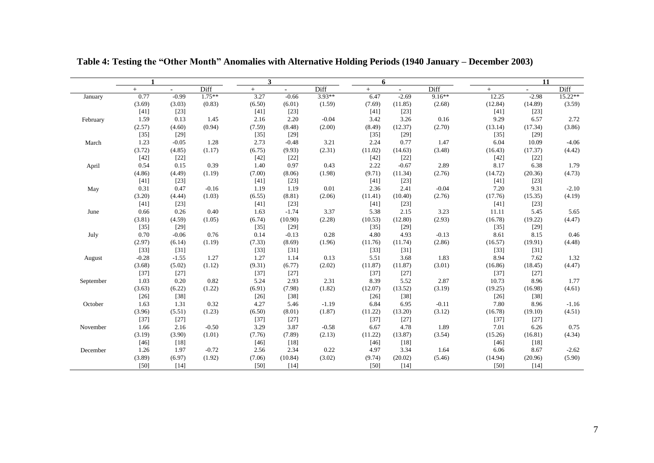|              | $\mathbf{1}$ |         |          | 3      |         |          | 6       |         |          |         | 11                       |           |
|--------------|--------------|---------|----------|--------|---------|----------|---------|---------|----------|---------|--------------------------|-----------|
|              | $+$          | $\sim$  | Diff     | $+$    | $ \,$   | Diff     | $+$     | $\sim$  | Diff     | $+$     | $\overline{\phantom{a}}$ | Diff      |
| January      | 0.77         | $-0.99$ | $1.75**$ | 3.27   | $-0.66$ | $3.93**$ | 6.47    | $-2.69$ | $9.16**$ | 12.25   | $-2.98$                  | $15.22**$ |
|              | (3.69)       | (3.03)  | (0.83)   | (6.50) | (6.01)  | (1.59)   | (7.69)  | (11.85) | (2.68)   | (12.84) | (14.89)                  | (3.59)    |
|              | [41]         | $[23]$  |          | $[41]$ | $[23]$  |          | [41]    | $[23]$  |          | [41]    | $[23]$                   |           |
| February     | 1.59         | 0.13    | 1.45     | 2.16   | 2.20    | $-0.04$  | 3.42    | 3.26    | $0.16\,$ | 9.29    | 6.57                     | 2.72      |
|              | (2.57)       | (4.60)  | (0.94)   | (7.59) | (8.48)  | (2.00)   | (8.49)  | (12.37) | (2.70)   | (13.14) | (17.34)                  | (3.86)    |
|              | $[35]$       | $[29]$  |          | $[35]$ | $[29]$  |          | $[35]$  | $[29]$  |          | $[35]$  | $[29]$                   |           |
| March        | 1.23         | $-0.05$ | 1.28     | 2.73   | $-0.48$ | 3.21     | 2.24    | 0.77    | 1.47     | 6.04    | 10.09                    | $-4.06$   |
|              | (3.72)       | (4.85)  | (1.17)   | (6.75) | (9.93)  | (2.31)   | (11.02) | (14.63) | (3.48)   | (16.43) | (17.37)                  | (4.42)    |
|              | $[42]$       | $[22]$  |          | $[42]$ | $[22]$  |          | $[42]$  | $[22]$  |          | $[42]$  | $[22]$                   |           |
| <b>April</b> | 0.54         | 0.15    | 0.39     | 1.40   | 0.97    | 0.43     | 2.22    | $-0.67$ | 2.89     | 8.17    | 6.38                     | 1.79      |
|              | (4.86)       | (4.49)  | (1.19)   | (7.00) | (8.06)  | (1.98)   | (9.71)  | (11.34) | (2.76)   | (14.72) | (20.36)                  | (4.73)    |
|              | [41]         | $[23]$  |          | $[41]$ | $[23]$  |          | [41]    | $[23]$  |          | $[41]$  | $[23]$                   |           |
| May          | 0.31         | 0.47    | $-0.16$  | 1.19   | 1.19    | 0.01     | 2.36    | 2.41    | $-0.04$  | 7.20    | 9.31                     | $-2.10$   |
|              | (3.20)       | (4.44)  | (1.03)   | (6.55) | (8.81)  | (2.06)   | (11.41) | (10.40) | (2.76)   | (17.76) | (15.35)                  | (4.19)    |
|              | $[41]$       | $[23]$  |          | $[41]$ | $[23]$  |          | $[41]$  | $[23]$  |          | $[41]$  | $[23]$                   |           |
| June         | 0.66         | 0.26    | 0.40     | 1.63   | $-1.74$ | 3.37     | 5.38    | 2.15    | 3.23     | 11.11   | 5.45                     | 5.65      |
|              | (3.81)       | (4.59)  | (1.05)   | (6.74) | (10.90) | (2.28)   | (10.53) | (12.80) | (2.93)   | (16.78) | (19.22)                  | (4.47)    |
|              | $[35]$       | $[29]$  |          | $[35]$ | $[29]$  |          | $[35]$  | $[29]$  |          | $[35]$  | $[29]$                   |           |
| July         | 0.70         | $-0.06$ | 0.76     | 0.14   | $-0.13$ | 0.28     | 4.80    | 4.93    | $-0.13$  | 8.61    | 8.15                     | 0.46      |
|              | (2.97)       | (6.14)  | (1.19)   | (7.33) | (8.69)  | (1.96)   | (11.76) | (11.74) | (2.86)   | (16.57) | (19.91)                  | (4.48)    |
|              | $[33]$       | $[31]$  |          | $[33]$ | $[31]$  |          | $[33]$  | $[31]$  |          | $[33]$  | $[31]$                   |           |
| August       | $-0.28$      | $-1.55$ | 1.27     | 1.27   | 1.14    | 0.13     | 5.51    | 3.68    | 1.83     | 8.94    | 7.62                     | 1.32      |
|              | (3.68)       | (5.02)  | (1.12)   | (9.31) | (6.77)  | (2.02)   | (11.87) | (11.87) | (3.01)   | (16.86) | (18.45)                  | (4.47)    |
|              | $[37]$       | $[27]$  |          | $[37]$ | $[27]$  |          | $[37]$  | $[27]$  |          | $[37]$  | $[27]$                   |           |
| September    | 1.03         | 0.20    | 0.82     | 5.24   | 2.93    | 2.31     | 8.39    | 5.52    | 2.87     | 10.73   | 8.96                     | 1.77      |
|              | (3.63)       | (6.22)  | (1.22)   | (6.91) | (7.98)  | (1.82)   | (12.07) | (13.52) | (3.19)   | (19.25) | (16.98)                  | (4.61)    |
|              | $[26]$       | $[38]$  |          | $[26]$ | $[38]$  |          | $[26]$  | $[38]$  |          | $[26]$  | $[38]$                   |           |
| October      | 1.63         | 1.31    | 0.32     | 4.27   | 5.46    | $-1.19$  | 6.84    | 6.95    | $-0.11$  | 7.80    | 8.96                     | $-1.16$   |
|              | (3.96)       | (5.51)  | (1.23)   | (6.50) | (8.01)  | (1.87)   | (11.22) | (13.20) | (3.12)   | (16.78) | (19.10)                  | (4.51)    |
|              | $[37]$       | $[27]$  |          | $[37]$ | $[27]$  |          | $[37]$  | $[27]$  |          | $[37]$  | $[27]$                   |           |
| November     | 1.66         | 2.16    | $-0.50$  | 3.29   | 3.87    | $-0.58$  | 6.67    | 4.78    | 1.89     | 7.01    | 6.26                     | 0.75      |
|              | (3.19)       | (3.90)  | (1.01)   | (7.76) | (7.89)  | (2.13)   | (11.22) | (13.87) | (3.54)   | (15.26) | (16.81)                  | (4.34)    |
|              | $[46]$       | $[18]$  |          | $[46]$ | $[18]$  |          | $[46]$  | $[18]$  |          | $[46]$  | $[18]$                   |           |
| December     | 1.26         | 1.97    | $-0.72$  | 2.56   | 2.34    | 0.22     | 4.97    | 3.34    | 1.64     | 6.06    | 8.67                     | $-2.62$   |
|              | (3.89)       | (6.97)  | (1.92)   | (7.06) | (10.84) | (3.02)   | (9.74)  | (20.02) | (5.46)   | (14.94) | (20.96)                  | (5.90)    |
|              | [50]         | $[14]$  |          | [50]   | $[14]$  |          | [50]    | $[14]$  |          | [50]    | [14]                     |           |

**Table 4: Testing the "Other Month" Anomalies with Alternative Holding Periods (1940 January – December 2003)**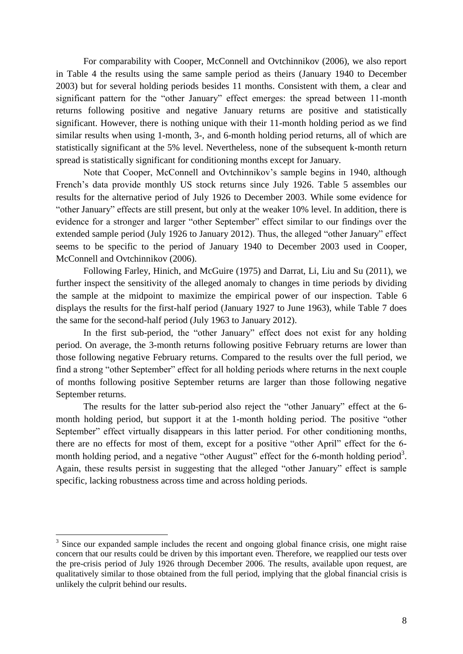For comparability with Cooper, McConnell and Ovtchinnikov (2006), we also report in Table 4 the results using the same sample period as theirs (January 1940 to December 2003) but for several holding periods besides 11 months. Consistent with them, a clear and significant pattern for the "other January" effect emerges: the spread between 11-month returns following positive and negative January returns are positive and statistically significant. However, there is nothing unique with their 11-month holding period as we find similar results when using 1-month, 3-, and 6-month holding period returns, all of which are statistically significant at the 5% level. Nevertheless, none of the subsequent k-month return spread is statistically significant for conditioning months except for January.

Note that Cooper, McConnell and Ovtchinnikov's sample begins in 1940, although French's data provide monthly US stock returns since July 1926. Table 5 assembles our results for the alternative period of July 1926 to December 2003. While some evidence for "other January" effects are still present, but only at the weaker 10% level. In addition, there is evidence for a stronger and larger "other September" effect similar to our findings over the extended sample period (July 1926 to January 2012). Thus, the alleged "other January" effect seems to be specific to the period of January 1940 to December 2003 used in Cooper, McConnell and Ovtchinnikov (2006).

Following Farley, Hinich, and McGuire (1975) and Darrat, Li, Liu and Su (2011), we further inspect the sensitivity of the alleged anomaly to changes in time periods by dividing the sample at the midpoint to maximize the empirical power of our inspection. Table 6 displays the results for the first-half period (January 1927 to June 1963), while Table 7 does the same for the second-half period (July 1963 to January 2012).

In the first sub-period, the "other January" effect does not exist for any holding period. On average, the 3-month returns following positive February returns are lower than those following negative February returns. Compared to the results over the full period, we find a strong "other September" effect for all holding periods where returns in the next couple of months following positive September returns are larger than those following negative September returns.

The results for the latter sub-period also reject the "other January" effect at the 6 month holding period, but support it at the 1-month holding period. The positive "other September" effect virtually disappears in this latter period. For other conditioning months, there are no effects for most of them, except for a positive "other April" effect for the 6 month holding period, and a negative "other August" effect for the 6-month holding period<sup>3</sup>. Again, these results persist in suggesting that the alleged "other January" effect is sample specific, lacking robustness across time and across holding periods.

<sup>&</sup>lt;sup>3</sup> Since our expanded sample includes the recent and ongoing global finance crisis, one might raise concern that our results could be driven by this important even. Therefore, we reapplied our tests over the pre-crisis period of July 1926 through December 2006. The results, available upon request, are qualitatively similar to those obtained from the full period, implying that the global financial crisis is unlikely the culprit behind our results.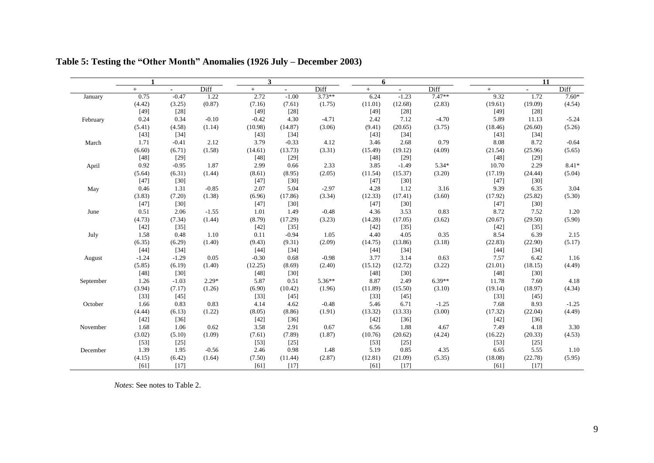|           | $\mathbf{1}$ |         |         | 3       |                |          | 6       |         |          |         | 11      |         |
|-----------|--------------|---------|---------|---------|----------------|----------|---------|---------|----------|---------|---------|---------|
|           | $^{+}$       | $\sim$  | Diff    | $+$     | $\blacksquare$ | Diff     | $+$     | $\sim$  | Diff     | $+$     | $\sim$  | Diff    |
| January   | 0.75         | $-0.47$ | 1.22    | 2.72    | $-1.00$        | $3.73**$ | 6.24    | $-1.23$ | $7.47**$ | 9.32    | 1.72    | $7.60*$ |
|           | (4.42)       | (3.25)  | (0.87)  | (7.16)  | (7.61)         | (1.75)   | (11.01) | (12.68) | (2.83)   | (19.61) | (19.09) | (4.54)  |
|           | $[49]$       | $[28]$  |         | $[49]$  | $[28]$         |          | $[49]$  | $[28]$  |          | $[49]$  | $[28]$  |         |
| February  | 0.24         | 0.34    | $-0.10$ | $-0.42$ | 4.30           | $-4.71$  | 2.42    | 7.12    | $-4.70$  | 5.89    | 11.13   | $-5.24$ |
|           | (5.41)       | (4.58)  | (1.14)  | (10.98) | (14.87)        | (3.06)   | (9.41)  | (20.65) | (3.75)   | (18.46) | (26.60) | (5.26)  |
|           | $[43]$       | $[34]$  |         | $[43]$  | $[34]$         |          | $[43]$  | $[34]$  |          | $[43]$  | $[34]$  |         |
| March     | 1.71         | $-0.41$ | 2.12    | 3.79    | $-0.33$        | 4.12     | 3.46    | 2.68    | 0.79     | 8.08    | 8.72    | $-0.64$ |
|           | (6.60)       | (6.71)  | (1.58)  | (14.61) | (13.73)        | (3.31)   | (15.49) | (19.12) | (4.09)   | (21.54) | (25.96) | (5.65)  |
|           | $[48]$       | $[29]$  |         | $[48]$  | $[29]$         |          | $[48]$  | $[29]$  |          | [48]    | $[29]$  |         |
| April     | 0.92         | $-0.95$ | 1.87    | 2.99    | 0.66           | 2.33     | 3.85    | $-1.49$ | $5.34*$  | 10.70   | 2.29    | 8.41*   |
|           | (5.64)       | (6.31)  | (1.44)  | (8.61)  | (8.95)         | (2.05)   | (11.54) | (15.37) | (3.20)   | (17.19) | (24.44) | (5.04)  |
|           | $[47]$       | $[30]$  |         | $[47]$  | $[30]$         |          | $[47]$  | $[30]$  |          | $[47]$  | $[30]$  |         |
| May       | 0.46         | 1.31    | $-0.85$ | 2.07    | 5.04           | $-2.97$  | 4.28    | 1.12    | 3.16     | 9.39    | 6.35    | 3.04    |
|           | (3.83)       | (7.20)  | (1.38)  | (6.96)  | (17.86)        | (3.34)   | (12.33) | (17.41) | (3.60)   | (17.92) | (25.82) | (5.30)  |
|           | $[47]$       | $[30]$  |         | $[47]$  | $[30]$         |          | $[47]$  | $[30]$  |          | $[47]$  | $[30]$  |         |
| June      | 0.51         | 2.06    | $-1.55$ | 1.01    | 1.49           | $-0.48$  | 4.36    | 3.53    | 0.83     | 8.72    | 7.52    | 1.20    |
|           | (4.73)       | (7.34)  | (1.44)  | (8.79)  | (17.29)        | (3.23)   | (14.28) | (17.05) | (3.62)   | (20.67) | (29.50) | (5.90)  |
|           | $[42]$       | $[35]$  |         | $[42]$  | $[35]$         |          | $[42]$  | $[35]$  |          | $[42]$  | $[35]$  |         |
| July      | 1.58         | 0.48    | 1.10    | 0.11    | $-0.94$        | 1.05     | 4.40    | 4.05    | 0.35     | 8.54    | 6.39    | 2.15    |
|           | (6.35)       | (6.29)  | (1.40)  | (9.43)  | (9.31)         | (2.09)   | (14.75) | (13.86) | (3.18)   | (22.83) | (22.90) | (5.17)  |
|           | $[44]$       | $[34]$  |         | $[44]$  | $[34]$         |          | $[44]$  | $[34]$  |          | $[44]$  | $[34]$  |         |
| August    | $-1.24$      | $-1.29$ | 0.05    | $-0.30$ | 0.68           | $-0.98$  | 3.77    | 3.14    | 0.63     | 7.57    | 6.42    | 1.16    |
|           | (5.85)       | (6.19)  | (1.40)  | (12.25) | (8.69)         | (2.40)   | (15.12) | (12.72) | (3.22)   | (21.01) | (18.15) | (4.49)  |
|           | $[48]$       | $[30]$  |         | $[48]$  | $[30]$         |          | $[48]$  | $[30]$  |          | [48]    | $[30]$  |         |
| September | 1.26         | $-1.03$ | $2.29*$ | 5.87    | 0.51           | 5.36**   | 8.87    | 2.49    | $6.39**$ | 11.78   | 7.60    | 4.18    |
|           | (3.94)       | (7.17)  | (1.26)  | (6.90)  | (10.42)        | (1.96)   | (11.89) | (15.50) | (3.10)   | (19.14) | (18.97) | (4.34)  |
|           | $[33]$       | $[45]$  |         | $[33]$  | $[45]$         |          | $[33]$  | $[45]$  |          | $[33]$  | $[45]$  |         |
| October   | 1.66         | 0.83    | 0.83    | 4.14    | 4.62           | $-0.48$  | 5.46    | 6.71    | $-1.25$  | 7.68    | 8.93    | $-1.25$ |
|           | (4.44)       | (6.13)  | (1.22)  | (8.05)  | (8.86)         | (1.91)   | (13.32) | (13.33) | (3.00)   | (17.32) | (22.04) | (4.49)  |
|           | $[42]$       | $[36]$  |         | $[42]$  | $[36]$         |          | $[42]$  | $[36]$  |          | $[42]$  | $[36]$  |         |
| November  | 1.68         | 1.06    | 0.62    | 3.58    | 2.91           | 0.67     | 6.56    | 1.88    | 4.67     | 7.49    | 4.18    | 3.30    |
|           | (3.02)       | (5.10)  | (1.09)  | (7.61)  | (7.89)         | (1.87)   | (10.76) | (20.62) | (4.24)   | (16.22) | (20.33) | (4.53)  |
|           | $[53]$       | $[25]$  |         | $[53]$  | $[25]$         |          | $[53]$  | $[25]$  |          | $[53]$  | $[25]$  |         |
| December  | 1.39         | 1.95    | $-0.56$ | 2.46    | 0.98           | 1.48     | 5.19    | 0.85    | 4.35     | 6.65    | 5.55    | 1.10    |
|           | (4.15)       | (6.42)  | (1.64)  | (7.50)  | (11.44)        | (2.87)   | (12.81) | (21.09) | (5.35)   | (18.08) | (22.78) | (5.95)  |
|           | [61]         | $[17]$  |         | [61]    | $[17]$         |          | [61]    | $[17]$  |          | [61]    | $[17]$  |         |

**Table 5: Testing the "Other Month" Anomalies (1926 July – December 2003)**

*Notes*: See notes to Table 2.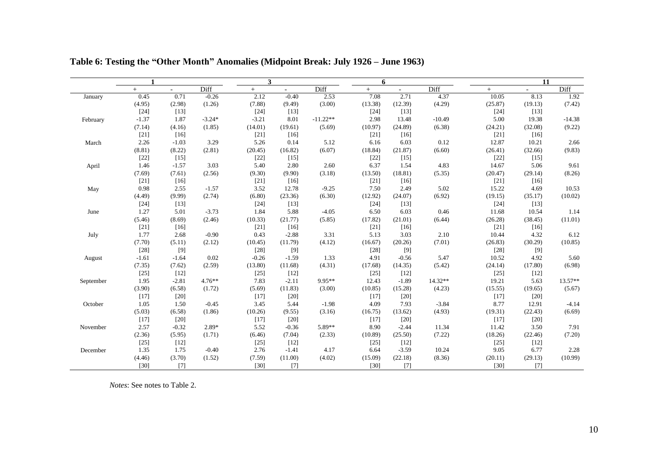|           | $\mathbf 1$ |                          |           | 3       |                          |            | 6       |         |           |         | 11                       |           |
|-----------|-------------|--------------------------|-----------|---------|--------------------------|------------|---------|---------|-----------|---------|--------------------------|-----------|
|           | $+$         | $\overline{\phantom{a}}$ | Diff      | $+$     | $\overline{\phantom{a}}$ | Diff       | $+$     | $\sim$  | Diff      | $+$     | $\overline{\phantom{a}}$ | Diff      |
| January   | 0.45        | 0.71                     | $-0.26$   | 2.12    | $-0.40$                  | 2.53       | 7.08    | 2.71    | 4.37      | 10.05   | 8.13                     | 1.92      |
|           | (4.95)      | (2.98)                   | (1.26)    | (7.88)  | (9.49)                   | (3.00)     | (13.38) | (12.39) | (4.29)    | (25.87) | (19.13)                  | (7.42)    |
|           | $[24]$      | $[13]$                   |           | $[24]$  | $[13]$                   |            | $[24]$  | $[13]$  |           | $[24]$  | $[13]$                   |           |
| February  | $-1.37$     | 1.87                     | $-3.24*$  | $-3.21$ | 8.01                     | $-11.22**$ | 2.98    | 13.48   | $-10.49$  | 5.00    | 19.38                    | $-14.38$  |
|           | (7.14)      | (4.16)                   | (1.85)    | (14.01) | (19.61)                  | (5.69)     | (10.97) | (24.89) | (6.38)    | (24.21) | (32.08)                  | (9.22)    |
|           | $[21]$      | $[16]$                   |           | $[21]$  | $[16]$                   |            | $[21]$  | $[16]$  |           | $[21]$  | $[16]$                   |           |
| March     | 2.26        | $-1.03$                  | 3.29      | 5.26    | 0.14                     | 5.12       | 6.16    | 6.03    | 0.12      | 12.87   | 10.21                    | 2.66      |
|           | (8.81)      | (8.22)                   | (2.81)    | (20.45) | (16.82)                  | (6.07)     | (18.84) | (21.87) | (6.60)    | (26.41) | (32.66)                  | (9.83)    |
|           | $[22]$      | $[15]$                   |           | $[22]$  | $[15]$                   |            | $[22]$  | $[15]$  |           | $[22]$  | $[15]$                   |           |
| April     | 1.46        | $-1.57$                  | 3.03      | 5.40    | 2.80                     | 2.60       | 6.37    | 1.54    | 4.83      | 14.67   | 5.06                     | 9.61      |
|           | (7.69)      | (7.61)                   | (2.56)    | (9.30)  | (9.90)                   | (3.18)     | (13.50) | (18.81) | (5.35)    | (20.47) | (29.14)                  | (8.26)    |
|           | $[21]$      | [16]                     |           | $[21]$  | $[16]$                   |            | [21]    | [16]    |           | $[21]$  | $[16]$                   |           |
| May       | 0.98        | 2.55                     | $-1.57$   | 3.52    | 12.78                    | $-9.25$    | 7.50    | 2.49    | 5.02      | 15.22   | 4.69                     | 10.53     |
|           | (4.49)      | (9.99)                   | (2.74)    | (6.80)  | (23.36)                  | (6.30)     | (12.92) | (24.07) | (6.92)    | (19.15) | (35.17)                  | (10.02)   |
|           | $[24]$      | $[13]$                   |           | $[24]$  | $[13]$                   |            | $[24]$  | $[13]$  |           | $[24]$  | $[13]$                   |           |
| June      | 1.27        | 5.01                     | $-3.73$   | 1.84    | 5.88                     | $-4.05$    | 6.50    | 6.03    | 0.46      | 11.68   | 10.54                    | 1.14      |
|           | (5.46)      | (8.69)                   | (2.46)    | (10.33) | (21.77)                  | (5.85)     | (17.82) | (21.01) | (6.44)    | (26.28) | (38.45)                  | (11.01)   |
|           | $[21]$      | $[16]$                   |           | $[21]$  | $[16]$                   |            | $[21]$  | $[16]$  |           | $[21]$  | $[16]$                   |           |
| July      | 1.77        | 2.68                     | $-0.90$   | 0.43    | $-2.88$                  | 3.31       | 5.13    | 3.03    | 2.10      | 10.44   | 4.32                     | 6.12      |
|           | (7.70)      | (5.11)                   | (2.12)    | (10.45) | (11.79)                  | (4.12)     | (16.67) | (20.26) | (7.01)    | (26.83) | (30.29)                  | (10.85)   |
|           | $[28]$      | $[9]$                    |           | $[28]$  | $[9]$                    |            | $[28]$  | [9]     |           | $[28]$  | $[9]$                    |           |
| August    | $-1.61$     | $-1.64$                  | 0.02      | $-0.26$ | $-1.59$                  | 1.33       | 4.91    | $-0.56$ | 5.47      | 10.52   | 4.92                     | 5.60      |
|           | (7.35)      | (7.62)                   | (2.59)    | (13.80) | (11.68)                  | (4.31)     | (17.68) | (14.35) | (5.42)    | (24.14) | (17.80)                  | (6.98)    |
|           | $[25]$      | $[12]$                   |           | $[25]$  | $[12]$                   |            | $[25]$  | $[12]$  |           | $[25]$  | $[12]$                   |           |
| September | 1.95        | $-2.81$                  | $4.76***$ | 7.83    | $-2.11$                  | 9.95**     | 12.43   | $-1.89$ | $14.32**$ | 19.21   | 5.63                     | $13.57**$ |
|           | (3.90)      | (6.58)                   | (1.72)    | (5.69)  | (11.83)                  | (3.00)     | (10.85) | (15.28) | (4.23)    | (15.55) | (19.65)                  | (5.67)    |
|           | $[17]$      | [20]                     |           | $[17]$  | $[20]$                   |            | $[17]$  | $[20]$  |           | $[17]$  | [20]                     |           |
| October   | 1.05        | 1.50                     | $-0.45$   | 3.45    | 5.44                     | $-1.98$    | 4.09    | 7.93    | $-3.84$   | 8.77    | 12.91                    | $-4.14$   |
|           | (5.03)      | (6.58)                   | (1.86)    | (10.26) | (9.55)                   | (3.16)     | (16.75) | (13.62) | (4.93)    | (19.31) | (22.43)                  | (6.69)    |
|           | $[17]$      | $[20]$                   |           | $[17]$  | $[20]$                   |            | [17]    | $[20]$  |           | $[17]$  | $[20]$                   |           |
| November  | 2.57        | $-0.32$                  | 2.89*     | 5.52    | $-0.36$                  | 5.89**     | 8.90    | $-2.44$ | 11.34     | 11.42   | 3.50                     | 7.91      |
|           | (2.36)      | (5.95)                   | (1.71)    | (6.46)  | (7.04)                   | (2.33)     | (10.89) | (25.50) | (7.22)    | (18.26) | (22.46)                  | (7.20)    |
|           | $[25]$      | $[12]$                   |           | $[25]$  | $[12]$                   |            | $[25]$  | $[12]$  |           | $[25]$  | $[12]$                   |           |
| December  | 1.35        | 1.75                     | $-0.40$   | 2.76    | $-1.41$                  | 4.17       | 6.64    | $-3.59$ | 10.24     | 9.05    | 6.77                     | 2.28      |
|           | (4.46)      | (3.70)                   | (1.52)    | (7.59)  | (11.00)                  | (4.02)     | (15.09) | (22.18) | (8.36)    | (20.11) | (29.13)                  | (10.99)   |
|           | [30]        | $[7]$                    |           | $[30]$  | $[7]$                    |            | $[30]$  | $[7]$   |           | $[30]$  | $[7]$                    |           |

**Table 6: Testing the "Other Month" Anomalies (Midpoint Break: July 1926 – June 1963)**

*Notes*: See notes to Table 2.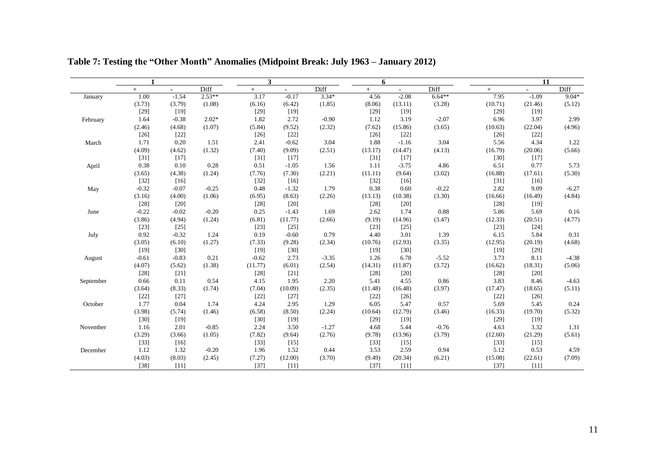|           | $\mathbf{1}$ |                          |          | 3       |         |         | 6       |         |          |         | 11                       |         |
|-----------|--------------|--------------------------|----------|---------|---------|---------|---------|---------|----------|---------|--------------------------|---------|
|           | $+$          | $\overline{\phantom{0}}$ | Diff     | $+$     | $ \,$   | Diff    | $+$     | $\sim$  | Diff     | $+$     | $\overline{\phantom{a}}$ | Diff    |
| January   | 1.00         | $-1.54$                  | $2.53**$ | 3.17    | $-0.17$ | $3.34*$ | 4.56    | $-2.08$ | $6.64**$ | 7.95    | $-1.09$                  | $9.04*$ |
|           | (3.73)       | (3.79)                   | (1.08)   | (6.16)  | (6.42)  | (1.85)  | (8.06)  | (13.11) | (3.28)   | (10.71) | (21.46)                  | (5.12)  |
|           | $[29]$       | $[19]$                   |          | $[29]$  | $[19]$  |         | $[29]$  | $[19]$  |          | $[29]$  | $[19]$                   |         |
| February  | 1.64         | $-0.38$                  | $2.02*$  | 1.82    | 2.72    | $-0.90$ | 1.12    | 3.19    | $-2.07$  | 6.96    | 3.97                     | 2.99    |
|           | (2.46)       | (4.68)                   | (1.07)   | (5.84)  | (9.52)  | (2.32)  | (7.62)  | (15.86) | (3.65)   | (10.63) | (22.04)                  | (4.96)  |
|           | $[26]$       | $[22]$                   |          | $[26]$  | $[22]$  |         | $[26]$  | $[22]$  |          | $[26]$  | $[22]$                   |         |
| March     | 1.71         | 0.20                     | 1.51     | 2.41    | $-0.62$ | 3.04    | 1.88    | $-1.16$ | 3.04     | 5.56    | 4.34                     | 1.22    |
|           | (4.09)       | (4.62)                   | (1.32)   | (7.40)  | (9.09)  | (2.51)  | (13.17) | (14.47) | (4.13)   | (16.79) | (20.06)                  | (5.66)  |
|           | $[31]$       | $[17]$                   |          | $[31]$  | $[17]$  |         | $[31]$  | $[17]$  |          | $[30]$  | $[17]$                   |         |
| April     | 0.38         | 0.10                     | 0.28     | 0.51    | $-1.05$ | 1.56    | 1.11    | $-3.75$ | 4.86     | 6.51    | 0.77                     | 5.73    |
|           | (3.65)       | (4.38)                   | (1.24)   | (7.76)  | (7.30)  | (2.21)  | (11.11) | (9.64)  | (3.02)   | (16.88) | (17.61)                  | (5.30)  |
|           | $[32]$       | [16]                     |          | $[32]$  | $[16]$  |         | $[32]$  | [16]    |          | $[31]$  | $[16]$                   |         |
| May       | $-0.32$      | $-0.07$                  | $-0.25$  | 0.48    | $-1.32$ | 1.79    | 0.38    | 0.60    | $-0.22$  | 2.82    | 9.09                     | $-6.27$ |
|           | (3.16)       | (4.00)                   | (1.06)   | (6.95)  | (8.63)  | (2.26)  | (13.13) | (10.38) | (3.30)   | (16.66) | (16.49)                  | (4.84)  |
|           | $[28]$       | $[20]$                   |          | $[28]$  | $[20]$  |         | $[28]$  | $[20]$  |          | $[28]$  | $[19]$                   |         |
| June      | $-0.22$      | $-0.02$                  | $-0.20$  | 0.25    | $-1.43$ | 1.69    | 2.62    | 1.74    | 0.88     | 5.86    | 5.69                     | 0.16    |
|           | (3.86)       | (4.94)                   | (1.24)   | (6.81)  | (11.77) | (2.66)  | (9.19)  | (14.96) | (3.47)   | (12.33) | (20.51)                  | (4.77)  |
|           | $[23]$       | $[25]$                   |          | $[23]$  | $[25]$  |         | $[23]$  | $[25]$  |          | $[23]$  | $[24]$                   |         |
| July      | 0.92         | $-0.32$                  | 1.24     | 0.19    | $-0.60$ | 0.79    | 4.40    | 3.01    | 1.39     | 6.15    | 5.84                     | 0.31    |
|           | (3.05)       | (6.10)                   | (1.27)   | (7.33)  | (9.28)  | (2.34)  | (10.76) | (12.93) | (3.35)   | (12.95) | (20.19)                  | (4.68)  |
|           | $[19]$       | $[30]$                   |          | $[19]$  | $[30]$  |         | $[19]$  | $[30]$  |          | $[19]$  | $[29]$                   |         |
| August    | $-0.61$      | $-0.83$                  | 0.21     | $-0.62$ | 2.73    | $-3.35$ | 1.26    | 6.78    | $-5.52$  | 3.73    | 8.11                     | $-4.38$ |
|           | (4.07)       | (5.62)                   | (1.38)   | (11.77) | (6.01)  | (2.54)  | (14.31) | (11.87) | (3.72)   | (16.62) | (18.31)                  | (5.06)  |
|           | $[28]$       | $[21]$                   |          | $[28]$  | $[21]$  |         | $[28]$  | $[20]$  |          | $[28]$  | $[20]$                   |         |
| September | 0.66         | 0.11                     | 0.54     | 4.15    | 1.95    | 2.20    | 5.41    | 4.55    | 0.86     | 3.83    | 8.46                     | $-4.63$ |
|           | (3.64)       | (8.33)                   | (1.74)   | (7.04)  | (10.09) | (2.35)  | (11.48) | (16.48) | (3.97)   | (17.47) | (18.65)                  | (5.11)  |
|           | $[22]$       | $[27]$                   |          | $[22]$  | $[27]$  |         | $[22]$  | $[26]$  |          | $[22]$  | $[26]$                   |         |
| October   | 1.77         | 0.04                     | 1.74     | 4.24    | 2.95    | 1.29    | 6.05    | 5.47    | 0.57     | 5.69    | 5.45                     | 0.24    |
|           | (3.98)       | (5.74)                   | (1.46)   | (6.58)  | (8.50)  | (2.24)  | (10.64) | (12.79) | (3.46)   | (16.33) | (19.70)                  | (5.32)  |
|           | $[30]$       | $[19]$                   |          | $[30]$  | [19]    |         | $[29]$  | [19]    |          | $[29]$  | $[19]$                   |         |
| November  | 1.16         | 2.01                     | $-0.85$  | 2.24    | 3.50    | $-1.27$ | 4.68    | 5.44    | $-0.76$  | 4.63    | 3.32                     | 1.31    |
|           | (3.29)       | (3.66)                   | (1.05)   | (7.82)  | (9.64)  | (2.76)  | (9.78)  | (13.96) | (3.79)   | (12.60) | (21.29)                  | (5.61)  |
|           | $[33]$       | $[16]$                   |          | $[33]$  | $[15]$  |         | $[33]$  | $[15]$  |          | $[33]$  | $[15]$                   |         |
| December  | 1.12         | 1.32                     | $-0.20$  | 1.96    | 1.52    | 0.44    | 3.53    | 2.59    | 0.94     | 5.12    | 0.53                     | 4.59    |
|           | (4.03)       | (8.03)                   | (2.45)   | (7.27)  | (12.00) | (3.70)  | (9.49)  | (20.34) | (6.21)   | (15.08) | (22.61)                  | (7.09)  |
|           | $[38]$       | $[11]$                   |          | $[37]$  | $[11]$  |         | $[37]$  | $[11]$  |          | $[37]$  | $[11]$                   |         |

**Table 7: Testing the "Other Month" Anomalies (Midpoint Break: July 1963 – January 2012)**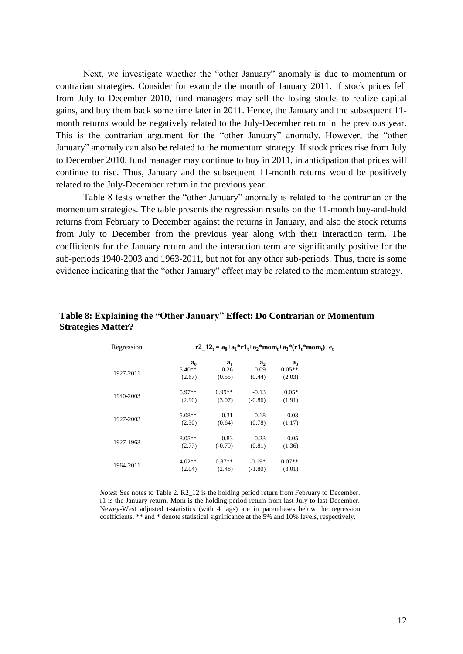Next, we investigate whether the "other January" anomaly is due to momentum or contrarian strategies. Consider for example the month of January 2011. If stock prices fell from July to December 2010, fund managers may sell the losing stocks to realize capital gains, and buy them back some time later in 2011. Hence, the January and the subsequent 11 month returns would be negatively related to the July-December return in the previous year. This is the contrarian argument for the "other January" anomaly. However, the "other January" anomaly can also be related to the momentum strategy. If stock prices rise from July to December 2010, fund manager may continue to buy in 2011, in anticipation that prices will continue to rise. Thus, January and the subsequent 11-month returns would be positively related to the July-December return in the previous year.

Table 8 tests whether the "other January" anomaly is related to the contrarian or the momentum strategies. The table presents the regression results on the 11-month buy-and-hold returns from February to December against the returns in January, and also the stock returns from July to December from the previous year along with their interaction term. The coefficients for the January return and the interaction term are significantly positive for the sub-periods 1940-2003 and 1963-2011, but not for any other sub-periods. Thus, there is some evidence indicating that the "other January" effect may be related to the momentum strategy.

| Regression |                |                |                | $r2_{-}12_{t} = a_{0} + a_{1} * r1_{t} + a_{2} * mom_{t} + a_{3} * (r1_{t} * mom_{t}) + e_{t}$ |  |
|------------|----------------|----------------|----------------|------------------------------------------------------------------------------------------------|--|
|            | a <sub>0</sub> | a <sub>1</sub> | a <sub>2</sub> | $a_3$                                                                                          |  |
| 1927-2011  | $5.40**$       | 0.26           | 0.09           | $0.05**$                                                                                       |  |
|            | (2.67)         | (0.55)         | (0.44)         | (2.03)                                                                                         |  |
| 1940-2003  | 5.97**         | $0.99**$       | $-0.13$        | $0.05*$                                                                                        |  |
|            | (2.90)         | (3.07)         | $(-0.86)$      | (1.91)                                                                                         |  |
| 1927-2003  | $5.08**$       | 0.31           | 0.18           | 0.03                                                                                           |  |
|            | (2.30)         | (0.64)         | (0.78)         | (1.17)                                                                                         |  |
|            | $8.05**$       | $-0.83$        | 0.23           | 0.05                                                                                           |  |
| 1927-1963  | (2.77)         | $(-0.79)$      | (0.81)         | (1.36)                                                                                         |  |
|            | $4.02**$       | $0.87**$       | $-0.19*$       | $0.07**$                                                                                       |  |
| 1964-2011  | (2.04)         | (2.48)         | $(-1.80)$      | (3.01)                                                                                         |  |
|            |                |                |                |                                                                                                |  |

**Table 8: Explaining the "Other January" Effect: Do Contrarian or Momentum Strategies Matter?**

*Notes*: See notes to Table 2. R2\_12 is the holding period return from February to December. r1 is the January return. Mom is the holding period return from last July to last December. Newey-West adjusted t-statistics (with 4 lags) are in parentheses below the regression coefficients. \*\* and \* denote statistical significance at the 5% and 10% levels, respectively.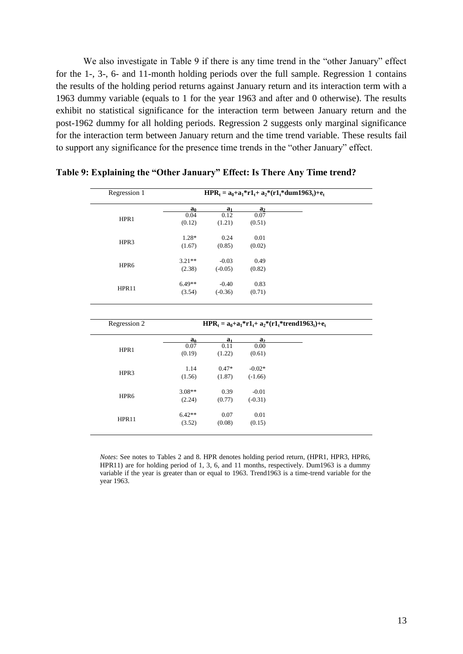We also investigate in Table 9 if there is any time trend in the "other January" effect for the 1-, 3-, 6- and 11-month holding periods over the full sample. Regression 1 contains the results of the holding period returns against January return and its interaction term with a 1963 dummy variable (equals to 1 for the year 1963 and after and 0 otherwise). The results exhibit no statistical significance for the interaction term between January return and the post-1962 dummy for all holding periods. Regression 2 suggests only marginal significance for the interaction term between January return and the time trend variable. These results fail to support any significance for the presence time trends in the "other January" effect.

| Regression 1 |                    |                    | $HPR_t = a_0 + a_1 * r1_t + a_2 * (r1_t * dum1963_t) + e_t$   |  |
|--------------|--------------------|--------------------|---------------------------------------------------------------|--|
|              | a <sub>0</sub>     | a <sub>1</sub>     | a <sub>2</sub>                                                |  |
| HPR1         | 0.04               | 0.12               | 0.07                                                          |  |
|              | (0.12)             | (1.21)             | (0.51)                                                        |  |
| HPR3         | $1.28*$            | 0.24               | 0.01                                                          |  |
|              | (1.67)             | (0.85)             | (0.02)                                                        |  |
|              | $3.21**$           | $-0.03$            | 0.49                                                          |  |
| HPR6         | (2.38)             | $(-0.05)$          | (0.82)                                                        |  |
|              | $6.49**$           | $-0.40$            | 0.83                                                          |  |
| HPR11        | (3.54)             | $(-0.36)$          | (0.71)                                                        |  |
|              |                    |                    |                                                               |  |
| Regression 2 |                    |                    | $HPR_t = a_0 + a_1 * r1_t + a_2 * (r1_t * trend1963_t) + e_t$ |  |
|              |                    |                    | a <sub>2</sub>                                                |  |
|              | $\frac{a_0}{0.07}$ | $\frac{a_1}{0.11}$ | 0.00                                                          |  |
| HPR1         | (0.19)             | (1.22)             | (0.61)                                                        |  |
|              | 1.14               | $0.47*$            | $-0.02*$                                                      |  |
| HPR3         | (1.56)             | (1.87)             | $(-1.66)$                                                     |  |
|              | $3.08**$           | 0.39               | $-0.01$                                                       |  |
| HPR6         | (2.24)             | (0.77)             | $(-0.31)$                                                     |  |
| HPR11        | $6.42**$           | 0.07               | 0.01                                                          |  |

**Table 9: Explaining the "Other January" Effect: Is There Any Time trend?**

*Notes*: See notes to Tables 2 and 8. HPR denotes holding period return, (HPR1, HPR3, HPR6, HPR11) are for holding period of 1, 3, 6, and 11 months, respectively. Dum1963 is a dummy variable if the year is greater than or equal to 1963. Trend1963 is a time-trend variable for the year 1963.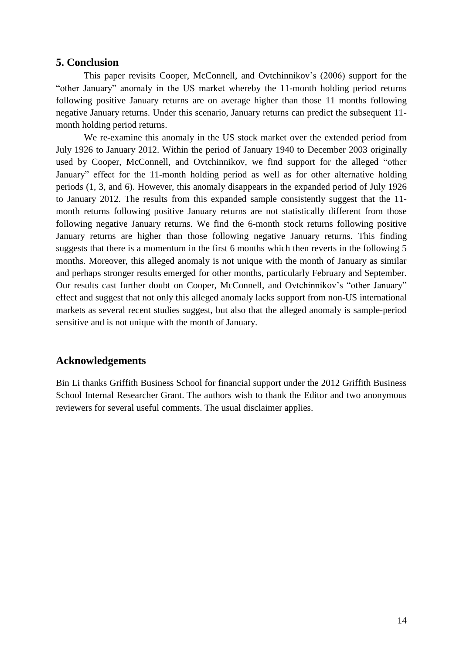# **5. Conclusion**

This paper revisits Cooper, McConnell, and Ovtchinnikov's (2006) support for the "other January" anomaly in the US market whereby the 11-month holding period returns following positive January returns are on average higher than those 11 months following negative January returns. Under this scenario, January returns can predict the subsequent 11 month holding period returns.

We re-examine this anomaly in the US stock market over the extended period from July 1926 to January 2012. Within the period of January 1940 to December 2003 originally used by Cooper, McConnell, and Ovtchinnikov, we find support for the alleged "other January" effect for the 11-month holding period as well as for other alternative holding periods (1, 3, and 6). However, this anomaly disappears in the expanded period of July 1926 to January 2012. The results from this expanded sample consistently suggest that the 11 month returns following positive January returns are not statistically different from those following negative January returns. We find the 6-month stock returns following positive January returns are higher than those following negative January returns. This finding suggests that there is a momentum in the first 6 months which then reverts in the following 5 months. Moreover, this alleged anomaly is not unique with the month of January as similar and perhaps stronger results emerged for other months, particularly February and September. Our results cast further doubt on Cooper, McConnell, and Ovtchinnikov's "other January" effect and suggest that not only this alleged anomaly lacks support from non-US international markets as several recent studies suggest, but also that the alleged anomaly is sample-period sensitive and is not unique with the month of January.

# **Acknowledgements**

Bin Li thanks Griffith Business School for financial support under the 2012 Griffith Business School Internal Researcher Grant. The authors wish to thank the Editor and two anonymous reviewers for several useful comments. The usual disclaimer applies.